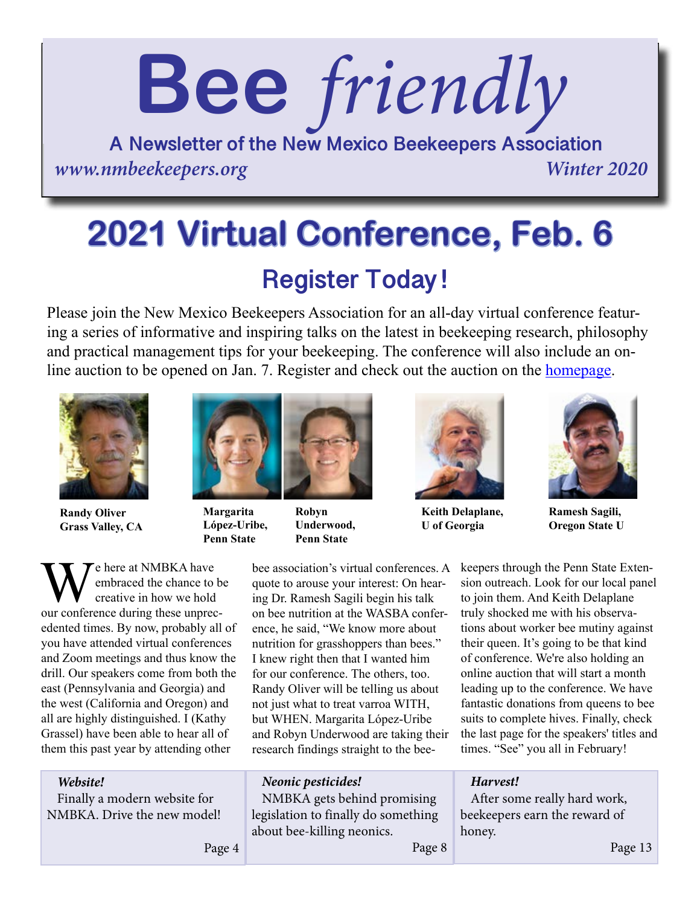# **Bee** *friendly*

**A Newsletter of the New Mexico Beekeepers Association** *www.nmbeekeepers.org Winter 2020*

## **Register Today ! 2021 Virtual Conference, Feb. 6**

Please join the New Mexico Beekeepers Association for an all-day virtual conference featuring a series of informative and inspiring talks on the latest in beekeeping research, philosophy and practical management tips for your beekeeping. The conference will also include an online auction to be opened on Jan. 7. Register and check out the auction on the [homepage.](http://nmbeekeepers.org)



**Randy Oliver Grass Valley, CA**



**Margarita López-Uribe, Penn State**

**Robyn Underwood, Penn State**



**Keith Delaplane, U of Georgia**



**Ramesh Sagili, Oregon State U**

We here at NMBKA have<br>
our conference during these unprecembraced the chance to be creative in how we hold edented times. By now, probably all of you have attended virtual conferences and Zoom meetings and thus know the drill. Our speakers come from both the east (Pennsylvania and Georgia) and the west (California and Oregon) and all are highly distinguished. I (Kathy Grassel) have been able to hear all of them this past year by attending other

bee association's virtual conferences. A quote to arouse your interest: On hearing Dr. Ramesh Sagili begin his talk on bee nutrition at the WASBA conference, he said, "We know more about nutrition for grasshoppers than bees." I knew right then that I wanted him for our conference. The others, too. Randy Oliver will be telling us about not just what to treat varroa WITH, but WHEN. Margarita López-Uribe and Robyn Underwood are taking their research findings straight to the bee-

keepers through the Penn State Extension outreach. Look for our local panel to join them. And Keith Delaplane truly shocked me with his observations about worker bee mutiny against their queen. It's going to be that kind of conference. We're also holding an online auction that will start a month leading up to the conference. We have fantastic donations from queens to bee suits to complete hives. Finally, check the last page for the speakers' titles and times. "See" you all in February!

#### *Website!*

Finally a modern website for NMBKA. Drive the new model! *Neonic pesticides!*

NMBKA gets behind promising legislation to finally do something about bee-killing neonics.

*Harvest!*

After some really hard work, beekeepers earn the reward of honey.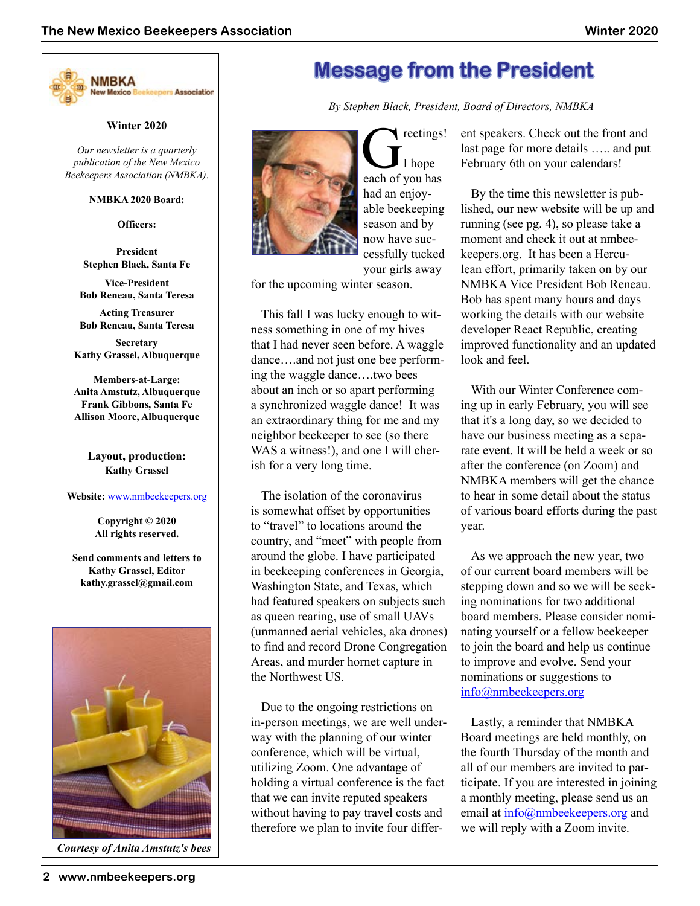

#### **Winter 2020**

*Our newsletter is a quarterly publication of the New Mexico Beekeepers Association (NMBKA)*.

#### **NMBKA 2020 Board:**

**Officers:**

**President Stephen Black, Santa Fe** 

**Vice-President Bob Reneau, Santa Teresa**

**Acting Treasurer Bob Reneau, Santa Teresa**

**Secretary Kathy Grassel, Albuquerque**

**Members-at-Large: Anita Amstutz, Albuquerque Frank Gibbons, Santa Fe Allison Moore, Albuquerque**

> **Layout, production: Kathy Grassel**

#### **Website:** www.nmbeekeepers.org

**Copyright © 2020 All rights reserved.**

**Send comments and letters to Kathy Grassel, Editor kathy.grassel@gmail.com**



*Courtesy of Anita Amstutz's bees*

## **Message from the President**

*By Stephen Black, President, Board of Directors, NMBKA*



Greetings!<br>Thope<br>each of you has I hope had an enjoyable beekeeping season and by now have successfully tucked your girls away

for the upcoming winter season.

This fall I was lucky enough to witness something in one of my hives that I had never seen before. A waggle dance….and not just one bee performing the waggle dance….two bees about an inch or so apart performing a synchronized waggle dance! It was an extraordinary thing for me and my neighbor beekeeper to see (so there WAS a witness!), and one I will cherish for a very long time.

The isolation of the coronavirus is somewhat offset by opportunities to "travel" to locations around the country, and "meet" with people from around the globe. I have participated in beekeeping conferences in Georgia, Washington State, and Texas, which had featured speakers on subjects such as queen rearing, use of small UAVs (unmanned aerial vehicles, aka drones) to find and record Drone Congregation Areas, and murder hornet capture in the Northwest US.

Due to the ongoing restrictions on in-person meetings, we are well underway with the planning of our winter conference, which will be virtual, utilizing Zoom. One advantage of holding a virtual conference is the fact that we can invite reputed speakers without having to pay travel costs and therefore we plan to invite four different speakers. Check out the front and last page for more details ….. and put February 6th on your calendars!

By the time this newsletter is published, our new website will be up and running (see pg. 4), so please take a moment and check it out at nmbeekeepers.org. It has been a Herculean effort, primarily taken on by our NMBKA Vice President Bob Reneau. Bob has spent many hours and days working the details with our website developer React Republic, creating improved functionality and an updated look and feel.

With our Winter Conference coming up in early February, you will see that it's a long day, so we decided to have our business meeting as a separate event. It will be held a week or so after the conference (on Zoom) and NMBKA members will get the chance to hear in some detail about the status of various board efforts during the past year.

As we approach the new year, two of our current board members will be stepping down and so we will be seeking nominations for two additional board members. Please consider nominating yourself or a fellow beekeeper to join the board and help us continue to improve and evolve. Send your nominations or suggestions to info@nmbeekeepers.org

Lastly, a reminder that NMBKA Board meetings are held monthly, on the fourth Thursday of the month and all of our members are invited to participate. If you are interested in joining a monthly meeting, please send us an email at [info@nmbeekeepers.org](mailto:info@nmbeekeepers.org) and we will reply with a Zoom invite.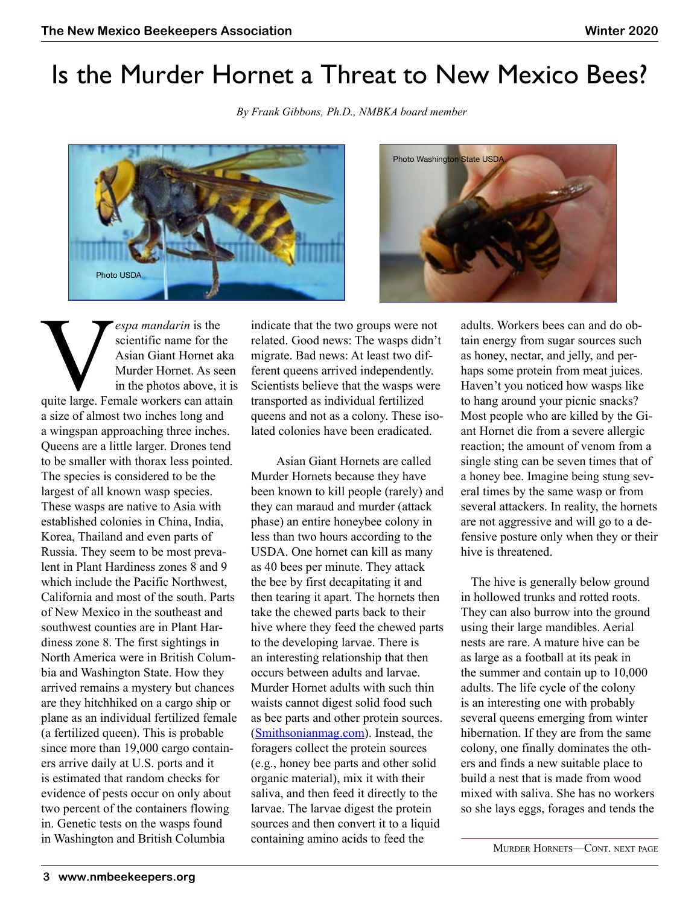## Is the Murder Hornet a Threat to New Mexico Bees?

*By Frank Gibbons, Ph.D., NMBKA board member*





**Vespa mandarin** is the scientific name for the Asian Giant Hornet aka Murder Hornet. As seen in the photos above, it is quite large. Female workers can attain scientific name for the Asian Giant Hornet aka Murder Hornet. As seen in the photos above, it is a size of almost two inches long and a wingspan approaching three inches. Queens are a little larger. Drones tend to be smaller with thorax less pointed. The species is considered to be the largest of all known wasp species. These wasps are native to Asia with established colonies in China, India, Korea, Thailand and even parts of Russia. They seem to be most prevalent in Plant Hardiness zones 8 and 9 which include the Pacific Northwest, California and most of the south. Parts of New Mexico in the southeast and southwest counties are in Plant Hardiness zone 8. The first sightings in North America were in British Columbia and Washington State. How they arrived remains a mystery but chances are they hitchhiked on a cargo ship or plane as an individual fertilized female (a fertilized queen). This is probable since more than 19,000 cargo containers arrive daily at U.S. ports and it is estimated that random checks for evidence of pests occur on only about two percent of the containers flowing in. Genetic tests on the wasps found in Washington and British Columbia

indicate that the two groups were not related. Good news: The wasps didn't migrate. Bad news: At least two different queens arrived independently. Scientists believe that the wasps were transported as individual fertilized queens and not as a colony. These isolated colonies have been eradicated.

 Asian Giant Hornets are called Murder Hornets because they have been known to kill people (rarely) and they can maraud and murder (attack phase) an entire honeybee colony in less than two hours according to the USDA. One hornet can kill as many as 40 bees per minute. They attack the bee by first decapitating it and then tearing it apart. The hornets then take the chewed parts back to their hive where they feed the chewed parts to the developing larvae. There is an interesting relationship that then occurs between adults and larvae. Murder Hornet adults with such thin waists cannot digest solid food such as bee parts and other protein sources. [\(Smithsonianmag.com\)](www.smithsonianmag.com). Instead, the foragers collect the protein sources (e.g., honey bee parts and other solid organic material), mix it with their saliva, and then feed it directly to the larvae. The larvae digest the protein sources and then convert it to a liquid containing amino acids to feed the

adults. Workers bees can and do obtain energy from sugar sources such as honey, nectar, and jelly, and perhaps some protein from meat juices. Haven't you noticed how wasps like to hang around your picnic snacks? Most people who are killed by the Giant Hornet die from a severe allergic reaction; the amount of venom from a single sting can be seven times that of a honey bee. Imagine being stung several times by the same wasp or from several attackers. In reality, the hornets are not aggressive and will go to a defensive posture only when they or their hive is threatened.

The hive is generally below ground in hollowed trunks and rotted roots. They can also burrow into the ground using their large mandibles. Aerial nests are rare. A mature hive can be as large as a football at its peak in the summer and contain up to 10,000 adults. The life cycle of the colony is an interesting one with probably several queens emerging from winter hibernation. If they are from the same colony, one finally dominates the others and finds a new suitable place to build a nest that is made from wood mixed with saliva. She has no workers so she lays eggs, forages and tends the

Murder Hornets—Cont. next page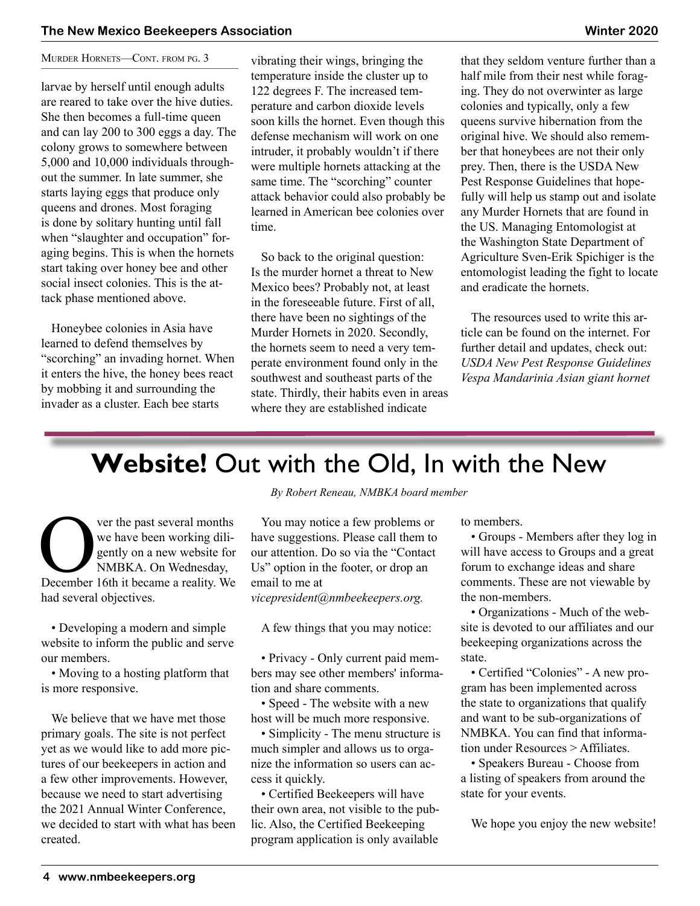#### MURDER HORNETS-CONT. FROM PG. 3

larvae by herself until enough adults are reared to take over the hive duties. She then becomes a full-time queen and can lay 200 to 300 eggs a day. The colony grows to somewhere between 5,000 and 10,000 individuals throughout the summer. In late summer, she starts laying eggs that produce only queens and drones. Most foraging is done by solitary hunting until fall when "slaughter and occupation" foraging begins. This is when the hornets start taking over honey bee and other social insect colonies. This is the attack phase mentioned above.

Honeybee colonies in Asia have learned to defend themselves by "scorching" an invading hornet. When it enters the hive, the honey bees react by mobbing it and surrounding the invader as a cluster. Each bee starts

vibrating their wings, bringing the temperature inside the cluster up to 122 degrees F. The increased temperature and carbon dioxide levels soon kills the hornet. Even though this defense mechanism will work on one intruder, it probably wouldn't if there were multiple hornets attacking at the same time. The "scorching" counter attack behavior could also probably be learned in American bee colonies over time.

So back to the original question: Is the murder hornet a threat to New Mexico bees? Probably not, at least in the foreseeable future. First of all, there have been no sightings of the Murder Hornets in 2020. Secondly, the hornets seem to need a very temperate environment found only in the southwest and southeast parts of the state. Thirdly, their habits even in areas where they are established indicate

that they seldom venture further than a half mile from their nest while foraging. They do not overwinter as large colonies and typically, only a few queens survive hibernation from the original hive. We should also remember that honeybees are not their only prey. Then, there is the USDA New Pest Response Guidelines that hopefully will help us stamp out and isolate any Murder Hornets that are found in the US. Managing Entomologist at the Washington State Department of Agriculture Sven-Erik Spichiger is the entomologist leading the fight to locate and eradicate the hornets.

The resources used to write this article can be found on the internet. For further detail and updates, check out: *USDA New Pest Response Guidelines Vespa Mandarinia Asian giant hornet*

## **Website!** Out with the Old, In with the New

Ver the past several months<br>
we have been working diligently on a new website for<br>
NMBKA. On Wednesday,<br>
December 16th it became a reality. We we have been working diligently on a new website for NMBKA. On Wednesday, had several objectives.

• Developing a modern and simple website to inform the public and serve our members.

• Moving to a hosting platform that is more responsive.

We believe that we have met those primary goals. The site is not perfect yet as we would like to add more pictures of our beekeepers in action and a few other improvements. However, because we need to start advertising the 2021 Annual Winter Conference, we decided to start with what has been created.

*By Robert Reneau, NMBKA board member*

You may notice a few problems or have suggestions. Please call them to our attention. Do so via the "Contact Us" option in the footer, or drop an email to me at

*vicepresident@nmbeekeepers.org.*

A few things that you may notice:

• Privacy - Only current paid members may see other members' information and share comments.

• Speed - The website with a new host will be much more responsive.

• Simplicity - The menu structure is much simpler and allows us to organize the information so users can access it quickly.

• Certified Beekeepers will have their own area, not visible to the public. Also, the Certified Beekeeping program application is only available

to members.

• Groups - Members after they log in will have access to Groups and a great forum to exchange ideas and share comments. These are not viewable by the non-members.

• Organizations - Much of the website is devoted to our affiliates and our beekeeping organizations across the state.

• Certified "Colonies" - A new program has been implemented across the state to organizations that qualify and want to be sub-organizations of NMBKA. You can find that information under Resources > Affiliates.

• Speakers Bureau - Choose from a listing of speakers from around the state for your events.

We hope you enjoy the new website!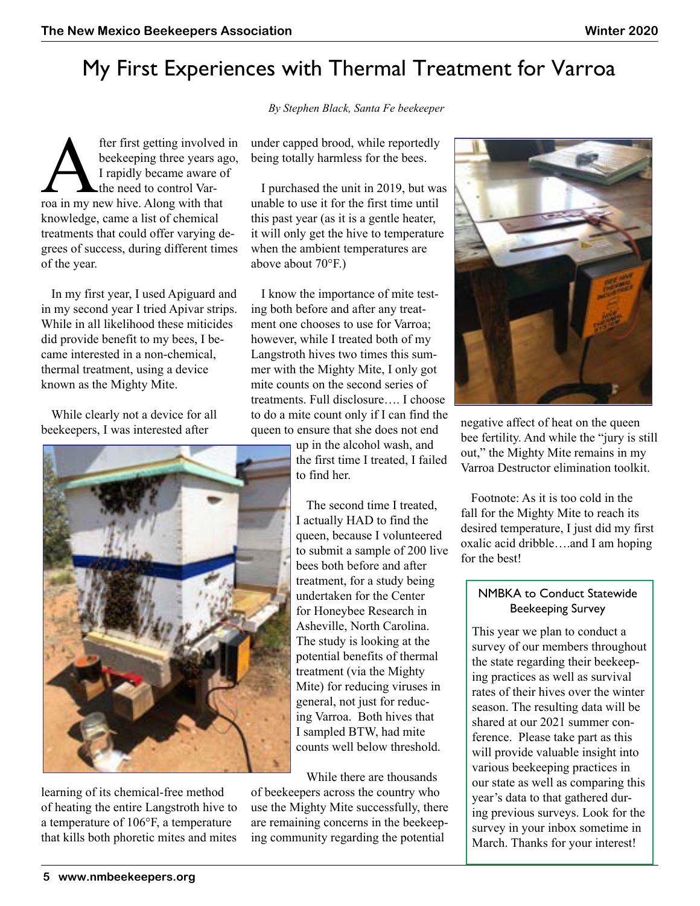## My First Experiences with Thermal Treatment for Varroa

*By Stephen Black, Santa Fe beekeeper*

fter first getting involved in<br>beekeeping three years ago,<br>I rapidly became aware of<br>the need to control Var-<br>roa in my new hive. Along with that beekeeping three years ago, I rapidly became aware of the need to control Varknowledge, came a list of chemical treatments that could offer varying degrees of success, during different times of the year.

In my first year, I used Apiguard and in my second year I tried Apivar strips. While in all likelihood these miticides did provide benefit to my bees, I became interested in a non-chemical, thermal treatment, using a device known as the Mighty Mite.

While clearly not a device for all beekeepers, I was interested after



learning of its chemical-free method of heating the entire Langstroth hive to a temperature of 106°F, a temperature that kills both phoretic mites and mites

under capped brood, while reportedly being totally harmless for the bees.

I purchased the unit in 2019, but was unable to use it for the first time until this past year (as it is a gentle heater, it will only get the hive to temperature when the ambient temperatures are above about 70°F.)

I know the importance of mite testing both before and after any treatment one chooses to use for Varroa; however, while I treated both of my Langstroth hives two times this summer with the Mighty Mite, I only got mite counts on the second series of treatments. Full disclosure…. I choose to do a mite count only if I can find the queen to ensure that she does not end

> up in the alcohol wash, and the first time I treated, I failed to find her.

The second time I treated, I actually HAD to find the queen, because I volunteered to submit a sample of 200 live bees both before and after treatment, for a study being undertaken for the Center for Honeybee Research in Asheville, North Carolina. The study is looking at the potential benefits of thermal treatment (via the Mighty Mite) for reducing viruses in general, not just for reducing Varroa. Both hives that I sampled BTW, had mite counts well below threshold.

While there are thousands of beekeepers across the country who use the Mighty Mite successfully, there are remaining concerns in the beekeeping community regarding the potential



negative affect of heat on the queen bee fertility. And while the "jury is still out," the Mighty Mite remains in my Varroa Destructor elimination toolkit.

Footnote: As it is too cold in the fall for the Mighty Mite to reach its desired temperature, I just did my first oxalic acid dribble….and I am hoping for the best!

#### NMBKA to Conduct Statewide Beekeeping Survey

This year we plan to conduct a survey of our members throughout the state regarding their beekeeping practices as well as survival rates of their hives over the winter season. The resulting data will be shared at our 2021 summer conference. Please take part as this will provide valuable insight into various beekeeping practices in our state as well as comparing this year's data to that gathered during previous surveys. Look for the survey in your inbox sometime in March. Thanks for your interest!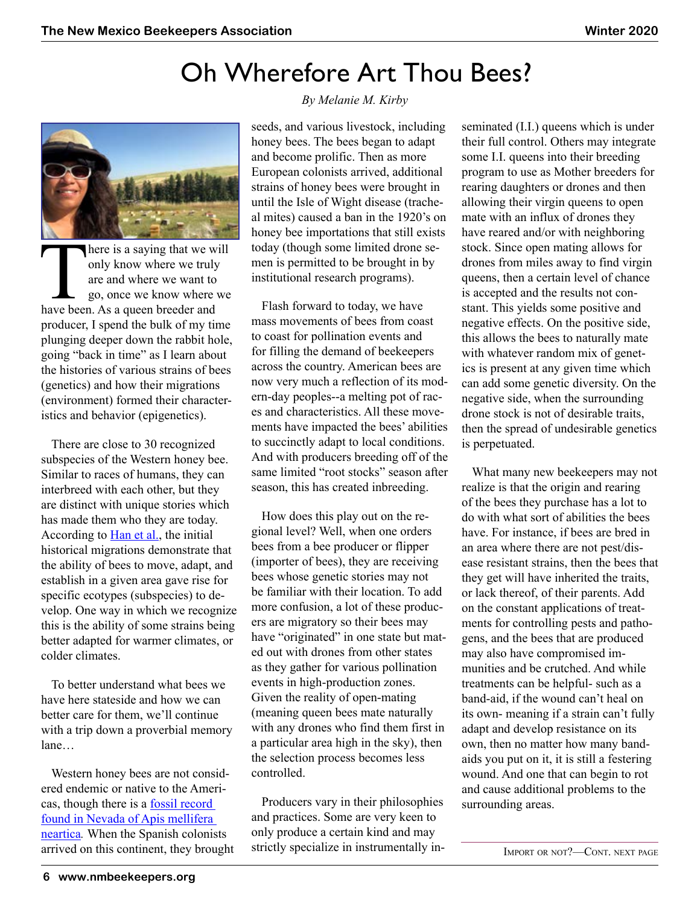## Oh Wherefore Art Thou Bees?



There is a saying that we will<br>
only know where we truly<br>
are and where we want to<br>
go, once we know where we<br>
have been. As a queen breeder and only know where we truly are and where we want to go, once we know where we producer, I spend the bulk of my time plunging deeper down the rabbit hole, going "back in time" as I learn about the histories of various strains of bees (genetics) and how their migrations (environment) formed their characteristics and behavior (epigenetics).

There are close to 30 recognized subspecies of the Western honey bee. Similar to races of humans, they can interbreed with each other, but they are distinct with unique stories which has made them who they are today. According to [Han et al.,](http://onlinelibrary.wiley.com/doi/full/10.1002/ece3.312) the initial historical migrations demonstrate that the ability of bees to move, adapt, and establish in a given area gave rise for specific ecotypes (subspecies) to develop. One way in which we recognize this is the ability of some strains being better adapted for warmer climates, or colder climates.

To better understand what bees we have here stateside and how we can better care for them, we'll continue with a trip down a proverbial memory lane…

Western honey bees are not considered endemic or native to the Americas, though there is a [fossil record](https://ucanr.edu/blogs/blogcore/postdetail.cfm?postnum=1544)  [found in Nevada of Apis mellifera](https://ucanr.edu/blogs/blogcore/postdetail.cfm?postnum=1544)  [neartica](https://ucanr.edu/blogs/blogcore/postdetail.cfm?postnum=1544)*.* When the Spanish colonists arrived on this continent, they brought

#### *By Melanie M. Kirby*

seeds, and various livestock, including honey bees. The bees began to adapt and become prolific. Then as more European colonists arrived, additional strains of honey bees were brought in until the Isle of Wight disease (tracheal mites) caused a ban in the 1920's on honey bee importations that still exists today (though some limited drone semen is permitted to be brought in by institutional research programs).

Flash forward to today, we have mass movements of bees from coast to coast for pollination events and for filling the demand of beekeepers across the country. American bees are now very much a reflection of its modern-day peoples--a melting pot of races and characteristics. All these movements have impacted the bees' abilities to succinctly adapt to local conditions. And with producers breeding off of the same limited "root stocks" season after season, this has created inbreeding.

How does this play out on the regional level? Well, when one orders bees from a bee producer or flipper (importer of bees), they are receiving bees whose genetic stories may not be familiar with their location. To add more confusion, a lot of these producers are migratory so their bees may have "originated" in one state but mated out with drones from other states as they gather for various pollination events in high-production zones. Given the reality of open-mating (meaning queen bees mate naturally with any drones who find them first in a particular area high in the sky), then the selection process becomes less controlled.

Producers vary in their philosophies and practices. Some are very keen to only produce a certain kind and may strictly specialize in instrumentally inseminated (I.I.) queens which is under their full control. Others may integrate some I.I. queens into their breeding program to use as Mother breeders for rearing daughters or drones and then allowing their virgin queens to open mate with an influx of drones they have reared and/or with neighboring stock. Since open mating allows for drones from miles away to find virgin queens, then a certain level of chance is accepted and the results not constant. This yields some positive and negative effects. On the positive side, this allows the bees to naturally mate with whatever random mix of genetics is present at any given time which can add some genetic diversity. On the negative side, when the surrounding drone stock is not of desirable traits, then the spread of undesirable genetics is perpetuated.

What many new beekeepers may not realize is that the origin and rearing of the bees they purchase has a lot to do with what sort of abilities the bees have. For instance, if bees are bred in an area where there are not pest/disease resistant strains, then the bees that they get will have inherited the traits, or lack thereof, of their parents. Add on the constant applications of treatments for controlling pests and pathogens, and the bees that are produced may also have compromised immunities and be crutched. And while treatments can be helpful- such as a band-aid, if the wound can't heal on its own- meaning if a strain can't fully adapt and develop resistance on its own, then no matter how many bandaids you put on it, it is still a festering wound. And one that can begin to rot and cause additional problems to the surrounding areas.

Import or not?—Cont. next page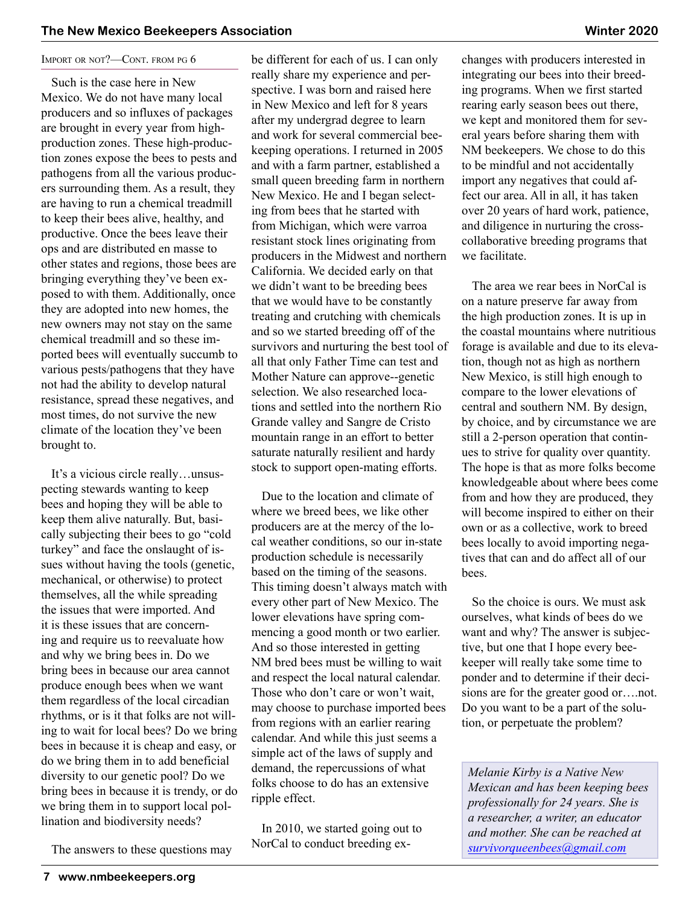#### IMPORT OR NOT?-CONT. FROM PG 6

Such is the case here in New Mexico. We do not have many local producers and so influxes of packages are brought in every year from highproduction zones. These high-production zones expose the bees to pests and pathogens from all the various producers surrounding them. As a result, they are having to run a chemical treadmill to keep their bees alive, healthy, and productive. Once the bees leave their ops and are distributed en masse to other states and regions, those bees are bringing everything they've been exposed to with them. Additionally, once they are adopted into new homes, the new owners may not stay on the same chemical treadmill and so these imported bees will eventually succumb to various pests/pathogens that they have not had the ability to develop natural resistance, spread these negatives, and most times, do not survive the new climate of the location they've been brought to.

It's a vicious circle really…unsuspecting stewards wanting to keep bees and hoping they will be able to keep them alive naturally. But, basically subjecting their bees to go "cold turkey" and face the onslaught of issues without having the tools (genetic, mechanical, or otherwise) to protect themselves, all the while spreading the issues that were imported. And it is these issues that are concerning and require us to reevaluate how and why we bring bees in. Do we bring bees in because our area cannot produce enough bees when we want them regardless of the local circadian rhythms, or is it that folks are not willing to wait for local bees? Do we bring bees in because it is cheap and easy, or do we bring them in to add beneficial diversity to our genetic pool? Do we bring bees in because it is trendy, or do we bring them in to support local pollination and biodiversity needs?

The answers to these questions may

be different for each of us. I can only really share my experience and perspective. I was born and raised here in New Mexico and left for 8 years after my undergrad degree to learn and work for several commercial beekeeping operations. I returned in 2005 and with a farm partner, established a small queen breeding farm in northern New Mexico. He and I began selecting from bees that he started with from Michigan, which were varroa resistant stock lines originating from producers in the Midwest and northern California. We decided early on that we didn't want to be breeding bees that we would have to be constantly treating and crutching with chemicals and so we started breeding off of the survivors and nurturing the best tool of all that only Father Time can test and Mother Nature can approve--genetic selection. We also researched locations and settled into the northern Rio Grande valley and Sangre de Cristo mountain range in an effort to better saturate naturally resilient and hardy stock to support open-mating efforts.

Due to the location and climate of where we breed bees, we like other producers are at the mercy of the local weather conditions, so our in-state production schedule is necessarily based on the timing of the seasons. This timing doesn't always match with every other part of New Mexico. The lower elevations have spring commencing a good month or two earlier. And so those interested in getting NM bred bees must be willing to wait and respect the local natural calendar. Those who don't care or won't wait, may choose to purchase imported bees from regions with an earlier rearing calendar. And while this just seems a simple act of the laws of supply and demand, the repercussions of what folks choose to do has an extensive ripple effect.

In 2010, we started going out to NorCal to conduct breeding exchanges with producers interested in integrating our bees into their breeding programs. When we first started rearing early season bees out there, we kept and monitored them for several years before sharing them with NM beekeepers. We chose to do this to be mindful and not accidentally import any negatives that could affect our area. All in all, it has taken over 20 years of hard work, patience, and diligence in nurturing the crosscollaborative breeding programs that we facilitate.

The area we rear bees in NorCal is on a nature preserve far away from the high production zones. It is up in the coastal mountains where nutritious forage is available and due to its elevation, though not as high as northern New Mexico, is still high enough to compare to the lower elevations of central and southern NM. By design, by choice, and by circumstance we are still a 2-person operation that continues to strive for quality over quantity. The hope is that as more folks become knowledgeable about where bees come from and how they are produced, they will become inspired to either on their own or as a collective, work to breed bees locally to avoid importing negatives that can and do affect all of our bees.

So the choice is ours. We must ask ourselves, what kinds of bees do we want and why? The answer is subjective, but one that I hope every beekeeper will really take some time to ponder and to determine if their decisions are for the greater good or….not. Do you want to be a part of the solution, or perpetuate the problem?

*Melanie Kirby is a Native New Mexican and has been keeping bees professionally for 24 years. She is a researcher, a writer, an educator and mother. She can be reached at [survivorqueenbees@gmail.com](mailto:survivorqueenbees@gmail.com)*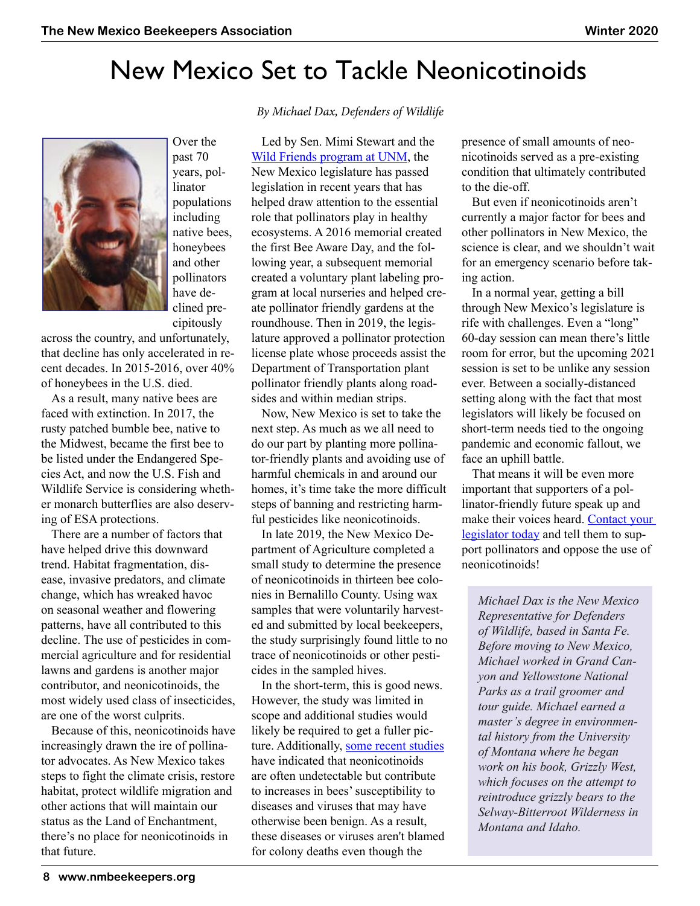## New Mexico Set to Tackle Neonicotinoids



Over the past 70 years, pollinator populations including native bees, honeybees and other pollinators have declined precipitously

across the country, and unfortunately, that decline has only accelerated in recent decades. In 2015-2016, over 40% of honeybees in the U.S. died.

As a result, many native bees are faced with extinction. In 2017, the rusty patched bumble bee, native to the Midwest, became the first bee to be listed under the Endangered Species Act, and now the U.S. Fish and Wildlife Service is considering whether monarch butterflies are also deserving of ESA protections.

There are a number of factors that have helped drive this downward trend. Habitat fragmentation, disease, invasive predators, and climate change, which has wreaked havoc on seasonal weather and flowering patterns, have all contributed to this decline. The use of pesticides in commercial agriculture and for residential lawns and gardens is another major contributor, and neonicotinoids, the most widely used class of insecticides, are one of the worst culprits.

Because of this, neonicotinoids have increasingly drawn the ire of pollinator advocates. As New Mexico takes steps to fight the climate crisis, restore habitat, protect wildlife migration and other actions that will maintain our status as the Land of Enchantment, there's no place for neonicotinoids in that future.

 *By Michael Dax, Defenders of Wildlife*

Led by Sen. Mimi Stewart and the [Wild Friends program at UNM](https://wildfriends.unm.edu/projects/index.html), the New Mexico legislature has passed legislation in recent years that has helped draw attention to the essential role that pollinators play in healthy ecosystems. A 2016 memorial created the first Bee Aware Day, and the following year, a subsequent memorial created a voluntary plant labeling program at local nurseries and helped create pollinator friendly gardens at the roundhouse. Then in 2019, the legislature approved a pollinator protection license plate whose proceeds assist the Department of Transportation plant pollinator friendly plants along roadsides and within median strips.

Now, New Mexico is set to take the next step. As much as we all need to do our part by planting more pollinator-friendly plants and avoiding use of harmful chemicals in and around our homes, it's time take the more difficult steps of banning and restricting harmful pesticides like neonicotinoids.

In late 2019, the New Mexico Department of Agriculture completed a small study to determine the presence of neonicotinoids in thirteen bee colonies in Bernalillo County. Using wax samples that were voluntarily harvested and submitted by local beekeepers, the study surprisingly found little to no trace of neonicotinoids or other pesticides in the sampled hives.

In the short-term, this is good news. However, the study was limited in scope and additional studies would likely be required to get a fuller picture. Additionally, [some recent studies](https://www.beeculture.com/neonicotinoid-pesticides-major-problem-bees-part-iii/) have indicated that neonicotinoids are often undetectable but contribute to increases in bees' susceptibility to diseases and viruses that may have otherwise been benign. As a result, these diseases or viruses aren't blamed for colony deaths even though the

presence of small amounts of neonicotinoids served as a pre-existing condition that ultimately contributed to the die-off.

But even if neonicotinoids aren't currently a major factor for bees and other pollinators in New Mexico, the science is clear, and we shouldn't wait for an emergency scenario before taking action.

In a normal year, getting a bill through New Mexico's legislature is rife with challenges. Even a "long" 60-day session can mean there's little room for error, but the upcoming 2021 session is set to be unlike any session ever. Between a socially-distanced setting along with the fact that most legislators will likely be focused on short-term needs tied to the ongoing pandemic and economic fallout, we face an uphill battle.

That means it will be even more important that supporters of a pollinator-friendly future speak up and make their voices heard. [Contact your](https://nmlegis.gov/Members/Find_My_Legislator)  [legislator today](https://nmlegis.gov/Members/Find_My_Legislator) and tell them to support pollinators and oppose the use of neonicotinoids!

*Michael Dax is the New Mexico Representative for Defenders of Wildlife, based in Santa Fe. Before moving to New Mexico, Michael worked in Grand Canyon and Yellowstone National Parks as a trail groomer and tour guide. Michael earned a master's degree in environmental history from the University of Montana where he began work on his book, Grizzly West, which focuses on the attempt to reintroduce grizzly bears to the Selway-Bitterroot Wilderness in Montana and Idaho.*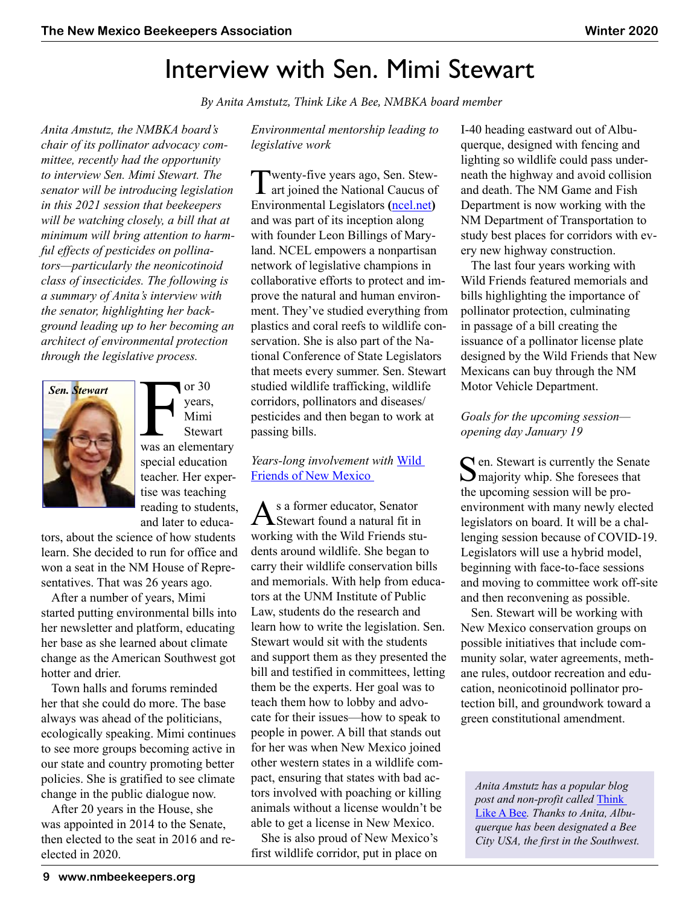## Interview with Sen. Mimi Stewart

 *By Anita Amstutz, Think Like A Bee, NMBKA board member*

*Anita Amstutz, the NMBKA board's chair of its pollinator advocacy committee, recently had the opportunity to interview Sen. Mimi Stewart. The senator will be introducing legislation in this 2021 session that beekeepers will be watching closely, a bill that at minimum will bring attention to harmful effects of pesticides on pollinators—particularly the neonicotinoid class of insecticides. The following is a summary of Anita's interview with the senator, highlighting her background leading up to her becoming an architect of environmental protection through the legislative process.*



or 30<br>
years,<br>
Mimi<br>
Stewart<br>
was an elementary or 30 years, Mimi **Stewart** special education teacher. Her expertise was teaching reading to students, and later to educa-

tors, about the science of how students learn. She decided to run for office and won a seat in the NM House of Representatives. That was 26 years ago.

After a number of years, Mimi started putting environmental bills into her newsletter and platform, educating her base as she learned about climate change as the American Southwest got hotter and drier.

Town halls and forums reminded her that she could do more. The base always was ahead of the politicians, ecologically speaking. Mimi continues to see more groups becoming active in our state and country promoting better policies. She is gratified to see climate change in the public dialogue now.

After 20 years in the House, she was appointed in 2014 to the Senate, then elected to the seat in 2016 and reelected in 2020.

*Environmental mentorship leading to legislative work*

[Twenty-five years ago, Sen. Stew-](www.ncel.net)**L** art joined the National Caucus of Environmental Legislators ([ncel.net](http://www.ncel.net)) and was part of its inception along with founder Leon Billings of Maryland. NCEL empowers a nonpartisan network of legislative champions in collaborative efforts to protect and improve the natural and human environment. They've studied everything from plastics and coral reefs to wildlife conservation. She is also part of the National Conference of State Legislators that meets every summer. Sen. Stewart studied wildlife trafficking, wildlife corridors, pollinators and diseases/ pesticides and then began to work at passing bills.

*Years-long involvement with* [Wild](https://wildfriends.unm.edu)  [Friends of New Mexico](https://wildfriends.unm.edu) 

As a former educator, Senator Stewart found a natural fit in working with the Wild Friends students around wildlife. She began to carry their wildlife conservation bills and memorials. With help from educators at the UNM Institute of Public Law, students do the research and learn how to write the legislation. Sen. Stewart would sit with the students and support them as they presented the bill and testified in committees, letting them be the experts. Her goal was to teach them how to lobby and advocate for their issues—how to speak to people in power. A bill that stands out for her was when New Mexico joined other western states in a wildlife compact, ensuring that states with bad actors involved with poaching or killing animals without a license wouldn't be able to get a license in New Mexico.

She is also proud of New Mexico's first wildlife corridor, put in place on I-40 heading eastward out of Albuquerque, designed with fencing and lighting so wildlife could pass underneath the highway and avoid collision and death. The NM Game and Fish Department is now working with the NM Department of Transportation to study best places for corridors with every new highway construction.

The last four years working with Wild Friends featured memorials and bills highlighting the importance of pollinator protection, culminating in passage of a bill creating the issuance of a pollinator license plate designed by the Wild Friends that New Mexicans can buy through the NM Motor Vehicle Department.

#### *Goals for the upcoming session opening day January 19*

 $\bigcap$  en. Stewart is currently the Senate majority whip. She foresees that the upcoming session will be proenvironment with many newly elected legislators on board. It will be a challenging session because of COVID-19. Legislators will use a hybrid model, beginning with face-to-face sessions and moving to committee work off-site and then reconvening as possible.

Sen. Stewart will be working with New Mexico conservation groups on possible initiatives that include community solar, water agreements, methane rules, outdoor recreation and education, neonicotinoid pollinator protection bill, and groundwork toward a green constitutional amendment.

*Anita Amstutz has a popular blog post and non-profit called* [Think](https://thinklikeabee.org)  [Like A Bee](https://thinklikeabee.org)*. Thanks to Anita, Albuquerque has been designated a Bee City USA, the first in the Southwest.*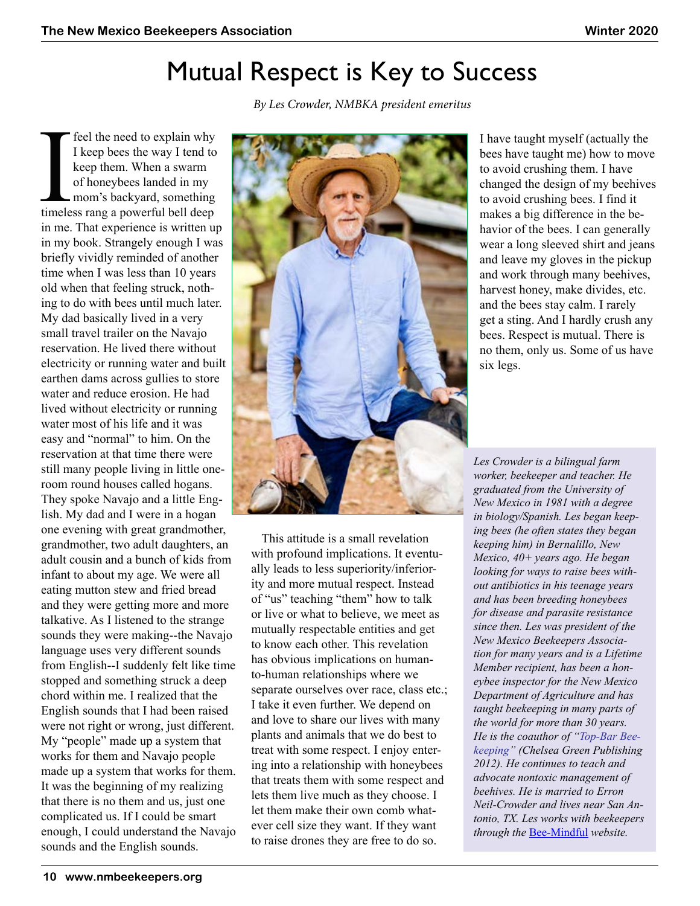## Mutual Respect is Key to Success

The feel the need to explain why<br>
I keep bees the way I tend to<br>
keep them. When a swarm<br>
of honeybees landed in my<br>
mom's backyard, something<br>
timeless rang a powerful bell deep I keep bees the way I tend to keep them. When a swarm of honeybees landed in my mom's backyard, something in me. That experience is written up in my book. Strangely enough I was briefly vividly reminded of another time when I was less than 10 years old when that feeling struck, nothing to do with bees until much later. My dad basically lived in a very small travel trailer on the Navajo reservation. He lived there without electricity or running water and built earthen dams across gullies to store water and reduce erosion. He had lived without electricity or running water most of his life and it was easy and "normal" to him. On the reservation at that time there were still many people living in little oneroom round houses called hogans. They spoke Navajo and a little English. My dad and I were in a hogan one evening with great grandmother, grandmother, two adult daughters, an adult cousin and a bunch of kids from infant to about my age. We were all eating mutton stew and fried bread and they were getting more and more talkative. As I listened to the strange sounds they were making--the Navajo language uses very different sounds from English--I suddenly felt like time stopped and something struck a deep chord within me. I realized that the English sounds that I had been raised were not right or wrong, just different. My "people" made up a system that works for them and Navajo people made up a system that works for them. It was the beginning of my realizing that there is no them and us, just one complicated us. If I could be smart enough, I could understand the Navajo sounds and the English sounds.

 *By Les Crowder, NMBKA president emeritus*



I have taught myself (actually the bees have taught me) how to move to avoid crushing them. I have changed the design of my beehives to avoid crushing bees. I find it makes a big difference in the behavior of the bees. I can generally wear a long sleeved shirt and jeans and leave my gloves in the pickup and work through many beehives, harvest honey, make divides, etc. and the bees stay calm. I rarely get a sting. And I hardly crush any bees. Respect is mutual. There is no them, only us. Some of us have six legs.

This attitude is a small revelation with profound implications. It eventually leads to less superiority/inferiority and more mutual respect. Instead of "us" teaching "them" how to talk or live or what to believe, we meet as mutually respectable entities and get to know each other. This revelation has obvious implications on humanto-human relationships where we separate ourselves over race, class etc.; I take it even further. We depend on and love to share our lives with many plants and animals that we do best to treat with some respect. I enjoy entering into a relationship with honeybees that treats them with some respect and lets them live much as they choose. I let them make their own comb whatever cell size they want. If they want to raise drones they are free to do so.

*Les Crowder is a bilingual farm worker, beekeeper and teacher. He graduated from the University of New Mexico in 1981 with a degree in biology/Spanish. Les began keeping bees (he often states they began keeping him) in Bernalillo, New Mexico, 40+ years ago. He began looking for ways to raise bees without antibiotics in his teenage years and has been breeding honeybees for disease and parasite resistance since then. Les was president of the New Mexico Beekeepers Association for many years and is a Lifetime Member recipient, has been a honeybee inspector for the New Mexico Department of Agriculture and has taught beekeeping in many parts of the world for more than 30 years. He is the coauthor of "Top-Bar Beekeeping" (Chelsea Green Publishing 2012). He continues to teach and advocate nontoxic management of beehives. He is married to Erron Neil-Crowder and lives near San Antonio, TX. Les works with beekeepers through the* [Bee-Mindful](https://www.bee-mindful.com/?fbclid=IwAR2cBYm5lharLAiPxp4iEh7EjuIREPjNWFAl7_gYDj9T99v5j3Ay7fumfgM) *website.*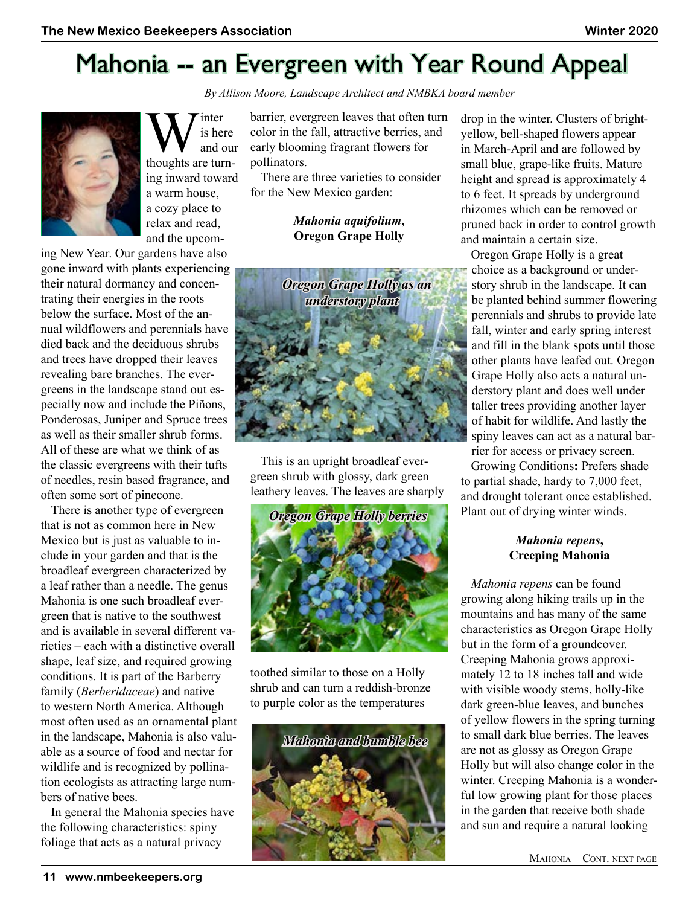



W is here<br>thoughts are turnis here and our ing inward toward a warm house, a cozy place to relax and read, and the upcom-

ing New Year. Our gardens have also gone inward with plants experiencing their natural dormancy and concentrating their energies in the roots below the surface. Most of the annual wildflowers and perennials have died back and the deciduous shrubs and trees have dropped their leaves revealing bare branches. The evergreens in the landscape stand out especially now and include the Piñons, Ponderosas, Juniper and Spruce trees as well as their smaller shrub forms. All of these are what we think of as the classic evergreens with their tufts of needles, resin based fragrance, and often some sort of pinecone.

There is another type of evergreen that is not as common here in New Mexico but is just as valuable to include in your garden and that is the broadleaf evergreen characterized by a leaf rather than a needle. The genus Mahonia is one such broadleaf evergreen that is native to the southwest and is available in several different varieties – each with a distinctive overall shape, leaf size, and required growing conditions. It is part of the Barberry family (*Berberidaceae*) and native to western North America. Although most often used as an ornamental plant in the landscape, Mahonia is also valuable as a source of food and nectar for wildlife and is recognized by pollination ecologists as attracting large numbers of native bees.

In general the Mahonia species have the following characteristics: spiny foliage that acts as a natural privacy

barrier, evergreen leaves that often turn color in the fall, attractive berries, and early blooming fragrant flowers for pollinators.

There are three varieties to consider for the New Mexico garden:

#### *Mahonia aquifolium***, Oregon Grape Holly**



This is an upright broadleaf evergreen shrub with glossy, dark green leathery leaves. The leaves are sharply



toothed similar to those on a Holly shrub and can turn a reddish-bronze to purple color as the temperatures



drop in the winter. Clusters of brightyellow, bell-shaped flowers appear in March-April and are followed by small blue, grape-like fruits. Mature height and spread is approximately 4 to 6 feet. It spreads by underground rhizomes which can be removed or pruned back in order to control growth and maintain a certain size.

Oregon Grape Holly is a great choice as a background or understory shrub in the landscape. It can be planted behind summer flowering perennials and shrubs to provide late fall, winter and early spring interest and fill in the blank spots until those other plants have leafed out. Oregon Grape Holly also acts a natural understory plant and does well under taller trees providing another layer of habit for wildlife. And lastly the spiny leaves can act as a natural barrier for access or privacy screen.

Growing Conditions**:** Prefers shade to partial shade, hardy to 7,000 feet, and drought tolerant once established. Plant out of drying winter winds.

#### *Mahonia repens***, Creeping Mahonia**

*Mahonia repens* can be found growing along hiking trails up in the mountains and has many of the same characteristics as Oregon Grape Holly but in the form of a groundcover. Creeping Mahonia grows approximately 12 to 18 inches tall and wide with visible woody stems, holly-like dark green-blue leaves, and bunches of yellow flowers in the spring turning to small dark blue berries. The leaves are not as glossy as Oregon Grape Holly but will also change color in the winter. Creeping Mahonia is a wonderful low growing plant for those places in the garden that receive both shade and sun and require a natural looking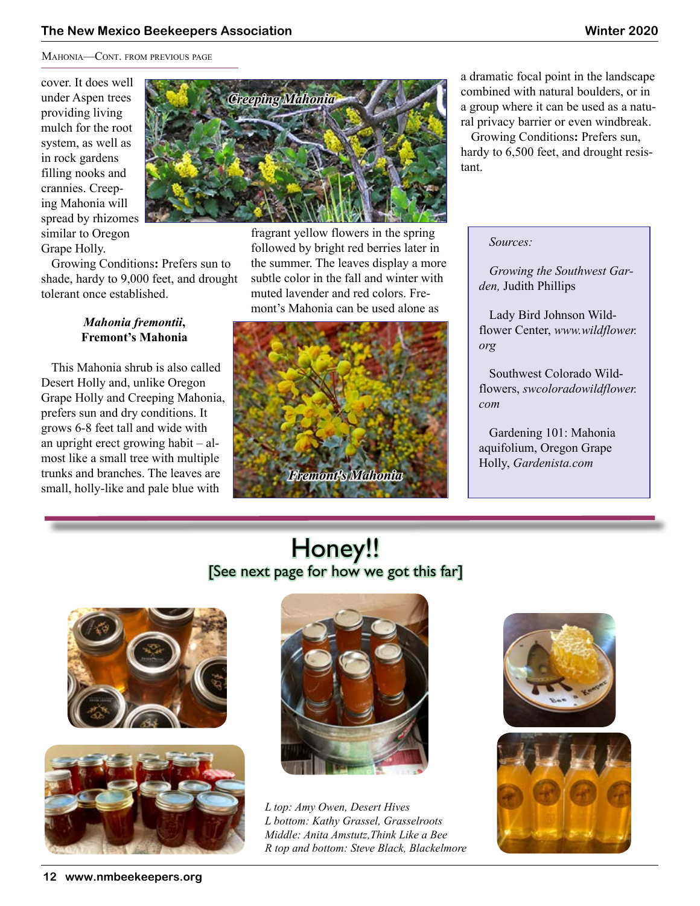#### **The New Mexico Beekeepers Association Winter 2020**

Mahonia—Cont. from previous page

cover. It does well under Aspen trees providing living mulch for the root system, as well as in rock gardens filling nooks and crannies. Creeping Mahonia will spread by rhizomes similar to Oregon Grape Holly.



#### *Mahonia fremontii***, Fremont's Mahonia**

This Mahonia shrub is also called Desert Holly and, unlike Oregon Grape Holly and Creeping Mahonia, prefers sun and dry conditions. It grows 6-8 feet tall and wide with an upright erect growing habit – almost like a small tree with multiple trunks and branches. The leaves are small, holly-like and pale blue with



fragrant yellow flowers in the spring followed by bright red berries later in the summer. The leaves display a more subtle color in the fall and winter with muted lavender and red colors. Fremont's Mahonia can be used alone as



a dramatic focal point in the landscape combined with natural boulders, or in a group where it can be used as a natural privacy barrier or even windbreak.

Growing Conditions**:** Prefers sun, hardy to 6,500 feet, and drought resistant.

*Sources:*

*Growing the Southwest Garden,* Judith Phillips

Lady Bird Johnson Wildflower Center, *www.wildflower. org*

Southwest Colorado Wildflowers, *swcoloradowildflower. com*

Gardening 101: Mahonia aquifolium, Oregon Grape Holly, *Gardenista.com*

## Honey!! [See next page for how we got this far]





*L top: Amy Owen, Desert Hives L bottom: Kathy Grassel, Grasselroots Middle: Anita Amstutz,Think Like a Bee R top and bottom: Steve Black, Blackelmore*



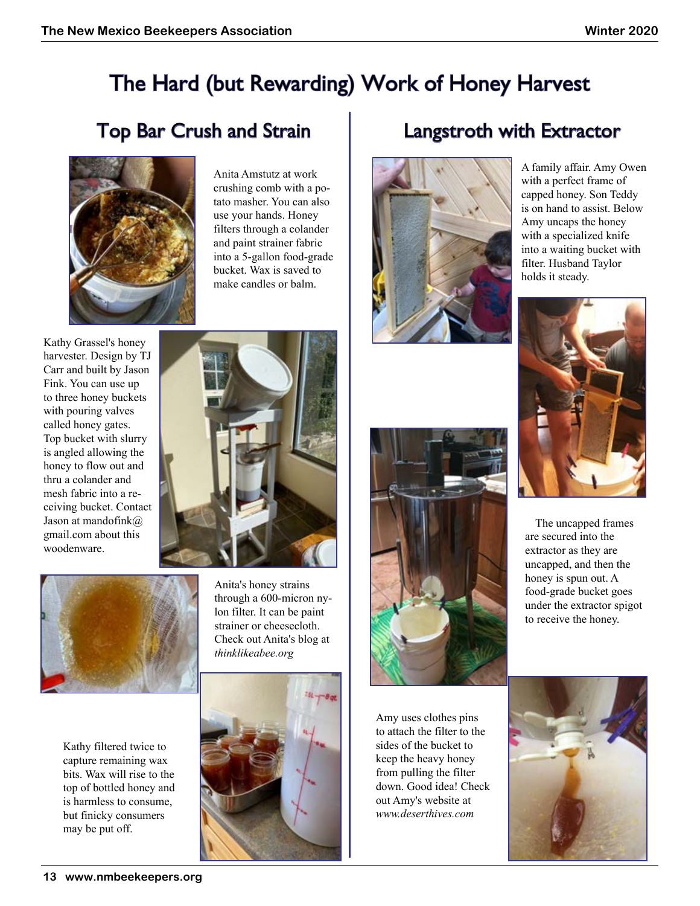## The Hard (but Rewarding) Work of Honey Harvest

## Top Bar Crush and Strain | Langstroth with Extractor



Anita Amstutz at work crushing comb with a potato masher. You can also use your hands. Honey filters through a colander and paint strainer fabric into a 5-gallon food-grade bucket. Wax is saved to make candles or balm.

Kathy Grassel's honey harvester. Design by TJ Carr and built by Jason Fink. You can use up to three honey buckets with pouring valves called honey gates. Top bucket with slurry is angled allowing the honey to flow out and thru a colander and mesh fabric into a receiving bucket. Contact Jason at mandofink@ gmail.com about this woodenware.



Kathy filtered twice to capture remaining wax bits. Wax will rise to the top of bottled honey and is harmless to consume, but finicky consumers may be put off.



Anita's honey strains through a 600-micron nylon filter. It can be paint strainer or cheesecloth. Check out Anita's blog at *[thinklikeabee.org](https://thinklikeabee.org)*





A family affair. Amy Owen with a perfect frame of capped honey. Son Teddy is on hand to assist. Below Amy uncaps the honey with a specialized knife into a waiting bucket with filter. Husband Taylor holds it steady.



The uncapped frames are secured into the extractor as they are uncapped, and then the honey is spun out. A food-grade bucket goes under the extractor spigot to receive the honey.

Amy uses clothes pins to attach the filter to the sides of the bucket to keep the heavy honey from pulling the filter down. Good idea! Check out Amy's website at *www.deserthives.com*